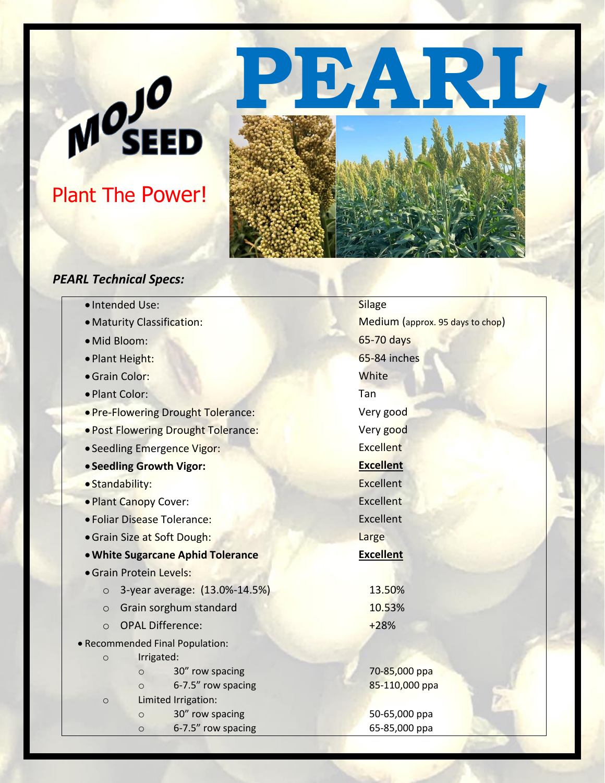# Plant The Power!

MOJO





### *PEARL Technical Specs:*

| · Intended Use:                          | <b>Silage</b>                    |
|------------------------------------------|----------------------------------|
| · Maturity Classification:               | Medium (approx. 95 days to chop) |
| · Mid Bloom:                             | 65-70 days                       |
| · Plant Height:                          | 65-84 inches                     |
| · Grain Color:                           | White                            |
| · Plant Color:                           | Tan                              |
| . Pre-Flowering Drought Tolerance:       | Very good                        |
| . Post Flowering Drought Tolerance:      | Very good                        |
| • Seedling Emergence Vigor:              | <b>Excellent</b>                 |
| • Seedling Growth Vigor:                 | <b>Excellent</b>                 |
| · Standability:                          | <b>Excellent</b>                 |
| . Plant Canopy Cover:                    | <b>Excellent</b>                 |
| · Foliar Disease Tolerance:              | Excellent                        |
| • Grain Size at Soft Dough:              | Large                            |
| . White Sugarcane Aphid Tolerance        | <b>Excellent</b>                 |
| · Grain Protein Levels:                  |                                  |
| 3-year average: (13.0%-14.5%)<br>$\circ$ | 13.50%                           |
| Grain sorghum standard<br>$\circ$        | 10.53%                           |
| <b>OPAL Difference:</b><br>$\circ$       | $+28%$                           |
| • Recommended Final Population:          |                                  |
| Irrigated:<br>$\circ$                    |                                  |
| 30" row spacing<br>$\circ$               | 70-85,000 ppa                    |
| 6-7.5" row spacing<br>$\circ$            | 85-110,000 ppa                   |
| Limited Irrigation:<br>$\circ$           |                                  |
| 30" row spacing<br>$\circ$               | 50-65,000 ppa                    |
| 6-7.5" row spacing<br>$\circ$            | 65-85,000 ppa                    |